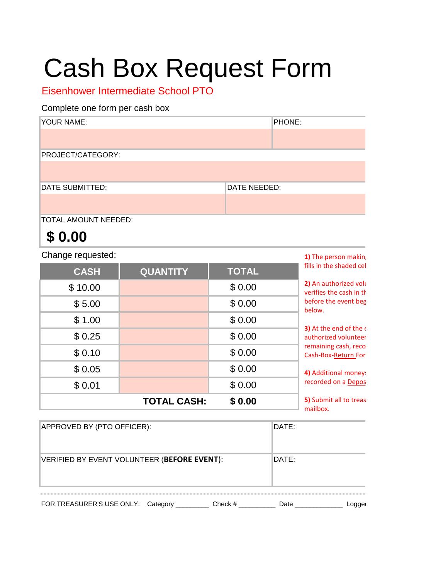## Cash Box Request Form

Eisenhower Intermediate School PTO

## Complete one form per cash box

| YOUR NAME:             | PHONE:       |  |
|------------------------|--------------|--|
|                        |              |  |
| PROJECT/CATEGORY:      |              |  |
|                        |              |  |
| <b>DATE SUBMITTED:</b> | DATE NEEDED: |  |
|                        |              |  |
| TOTAL AMOUNT NEEDED:   |              |  |

## **\$ 0.00**

Change requested:

| Change requested: |                    | 1) The person making |                                                         |
|-------------------|--------------------|----------------------|---------------------------------------------------------|
| <b>CASH</b>       | <b>QUANTITY</b>    | <b>TOTAL</b>         | fills in the shaded cell                                |
| \$10.00           |                    | \$0.00               | 2) An authorized volu<br>verifies the cash in the       |
| \$5.00            |                    | \$0.00               | before the event beg<br>below.                          |
| \$1.00            |                    | \$0.00               |                                                         |
| \$0.25            |                    | \$0.00               | 3) At the end of the $\epsilon$<br>authorized volunteer |
| \$0.10            |                    | \$0.00               | remaining cash, reco<br>Cash-Box-Return For             |
| \$0.05            |                    | \$0.00               | 4) Additional money:                                    |
| \$0.01            |                    | \$0.00               | recorded on a Depos                                     |
|                   | <b>TOTAL CASH:</b> | \$0.00               | 5) Submit all to treas<br>mailbox.                      |
|                   |                    |                      |                                                         |

| APPROVED BY (PTO OFFICER):                  |         | DATE: |  |
|---------------------------------------------|---------|-------|--|
| VERIFIED BY EVENT VOLUNTEER (BEFORE EVENT): | DATE:   |       |  |
| FOR TREASURER'S USE ONLY: Category          | Check # | Date  |  |